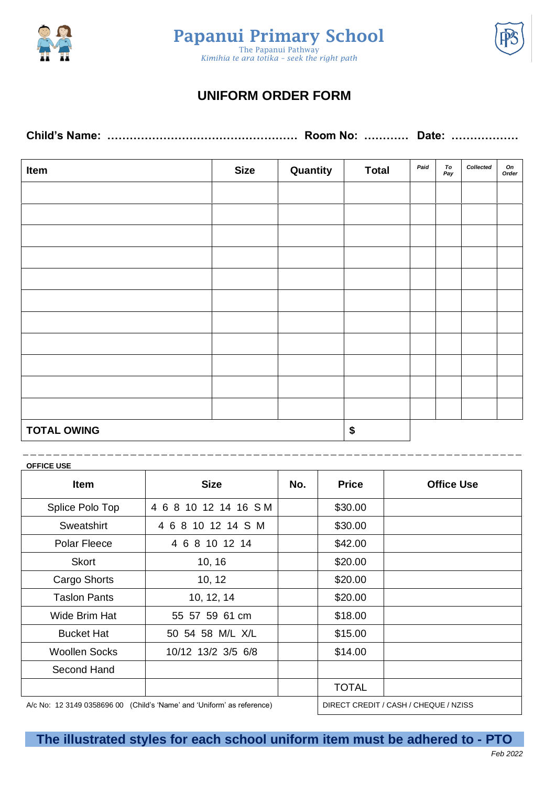





## **UNIFORM ORDER FORM**

| Item               | <b>Size</b> | Quantity | <b>Total</b> | Paid | To<br>Pay | Collected | On<br>Order |
|--------------------|-------------|----------|--------------|------|-----------|-----------|-------------|
|                    |             |          |              |      |           |           |             |
|                    |             |          |              |      |           |           |             |
|                    |             |          |              |      |           |           |             |
|                    |             |          |              |      |           |           |             |
|                    |             |          |              |      |           |           |             |
|                    |             |          |              |      |           |           |             |
|                    |             |          |              |      |           |           |             |
|                    |             |          |              |      |           |           |             |
|                    |             |          |              |      |           |           |             |
|                    |             |          |              |      |           |           |             |
|                    |             |          |              |      |           |           |             |
| <b>TOTAL OWING</b> |             |          | \$           |      |           |           |             |

## **OFFICE USE**

| <b>Item</b>                                                            | <b>Size</b>          | No. | <b>Price</b> | <b>Office Use</b>                     |
|------------------------------------------------------------------------|----------------------|-----|--------------|---------------------------------------|
| Splice Polo Top                                                        | 4 6 8 10 12 14 16 SM |     | \$30.00      |                                       |
| <b>Sweatshirt</b>                                                      | 4 6 8 10 12 14 S M   |     | \$30.00      |                                       |
| <b>Polar Fleece</b>                                                    | 4 6 8 10 12 14       |     | \$42.00      |                                       |
| <b>Skort</b>                                                           | 10, 16               |     | \$20.00      |                                       |
| Cargo Shorts                                                           | 10, 12               |     | \$20.00      |                                       |
| <b>Taslon Pants</b>                                                    | 10, 12, 14           |     | \$20.00      |                                       |
| Wide Brim Hat                                                          | 55 57 59 61 cm       |     | \$18.00      |                                       |
| <b>Bucket Hat</b>                                                      | 50 54 58 M/L X/L     |     | \$15.00      |                                       |
| <b>Woollen Socks</b>                                                   | 10/12 13/2 3/5 6/8   |     | \$14.00      |                                       |
| Second Hand                                                            |                      |     |              |                                       |
|                                                                        |                      |     | <b>TOTAL</b> |                                       |
| A/c No: 12 3149 0358696 00 (Child's 'Name' and 'Uniform' as reference) |                      |     |              | DIRECT CREDIT / CASH / CHEQUE / NZISS |

**The illustrated styles for each school uniform item must be adhered to - PTO**

\_ \_ \_ \_ \_ \_ \_ \_ \_ \_ \_ \_ \_ \_ \_ \_ \_